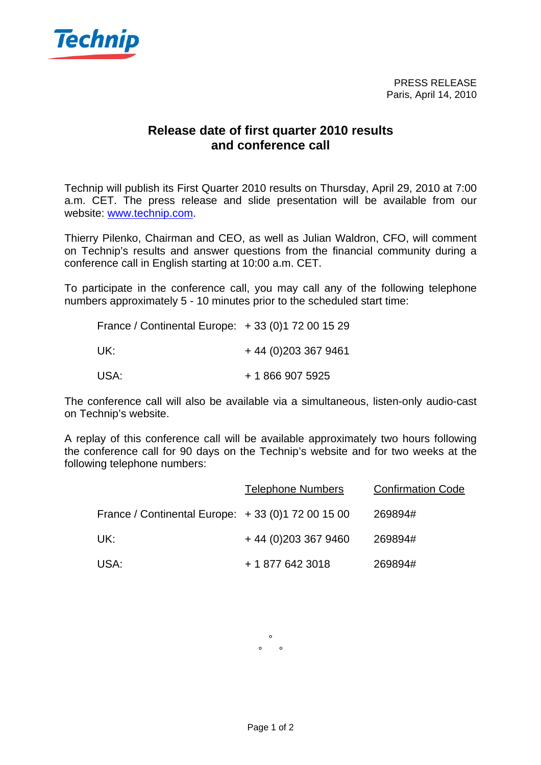

## **Release date of first quarter 2010 results and conference call**

Technip will publish its First Quarter 2010 results on Thursday, April 29, 2010 at 7:00 a.m. CET. The press release and slide presentation will be available from our website: www.technip.com.

Thierry Pilenko, Chairman and CEO, as well as Julian Waldron, CFO, will comment on Technip's results and answer questions from the financial community during a conference call in English starting at 10:00 a.m. CET.

To participate in the conference call, you may call any of the following telephone numbers approximately 5 - 10 minutes prior to the scheduled start time:

| France / Continental Europe: $+33(0)172001529$ |                    |
|------------------------------------------------|--------------------|
| UK:                                            | $+44(0)2033679461$ |
| USA:                                           | + 1 866 907 5925   |

The conference call will also be available via a simultaneous, listen-only audio-cast on Technip's website.

A replay of this conference call will be available approximately two hours following the conference call for 90 days on the Technip's website and for two weeks at the following telephone numbers:

|                                                   | <b>Telephone Numbers</b> | <b>Confirmation Code</b> |
|---------------------------------------------------|--------------------------|--------------------------|
| France / Continental Europe: +33 (0) 172 00 15 00 |                          | 269894#                  |
| UK:                                               | $+44(0)2033679460$       | 269894#                  |
| USA:                                              | + 1 877 642 3018         | 269894#                  |

°  $\circ$   $\circ$